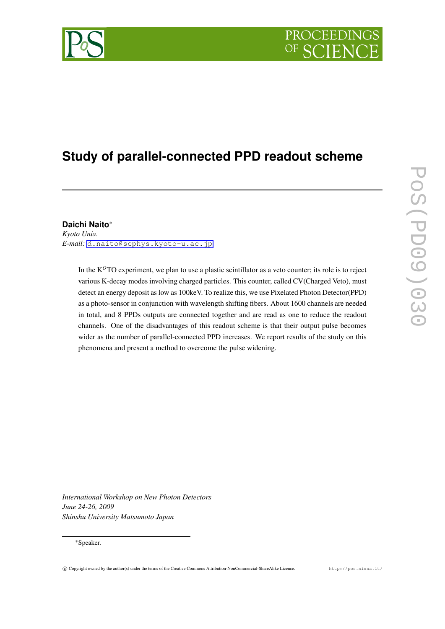# PROCEEDING

# **Study of parallel-connected PPD readout scheme**

### **Daichi Naito***∗*

*Kyoto Univ. E-mail:* [d.naito@scphys.kyoto-u.ac.jp](mailto:d.naito@scphys.kyoto-u.ac.jp)

> In the K<sup>O</sup>TO experiment, we plan to use a plastic scintillator as a veto counter; its role is to reject various K-decay modes involving charged particles. This counter, called CV(Charged Veto), must detect an energy deposit as low as 100keV. To realize this, we use Pixelated Photon Detector(PPD) as a photo-sensor in conjunction with wavelength shifting fibers. About 1600 channels are needed in total, and 8 PPDs outputs are connected together and are read as one to reduce the readout channels. One of the disadvantages of this readout scheme is that their output pulse becomes wider as the number of parallel-connected PPD increases. We report results of the study on this phenomena and present a method to overcome the pulse widening.

*International Workshop on New Photon Detectors June 24-26, 2009 Shinshu University Matsumoto Japan*

#### *∗*Speaker.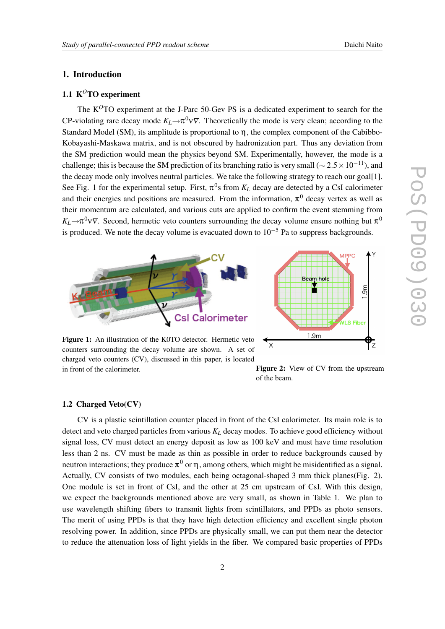#### 1. Introduction

#### 1.1 K<sup>O</sup>TO experiment

The K*O*TO experiment at the J-Parc 50-Gev PS is a dedicated experiment to search for the CP-violating rare decay mode  $K_L \rightarrow \pi^0 \nu \bar{\nu}$ . Theoretically the mode is very clean; according to the Standard Model (SM), its amplitude is proportional to  $\eta$ , the complex component of the Cabibbo-Kobayashi-Maskawa matrix, and is not obscured by hadronization part. Thus any deviation from the SM prediction would mean the physics beyond SM. Experimentally, however, the mode is a challenge; this is because the SM prediction of its branching ratio is very small (*<sup>∼</sup>* <sup>2</sup>*.*5*×*10*−*11), and the decay mode only involves neutral particles. We take the following strategy to reach our goal[1]. See Fig. 1 for the experimental setup. First,  $\pi^0$ s from  $K_L$  decay are detected by a CsI calorimeter and their energies and positions are measured. From the information,  $\pi^0$  decay vertex as well as their momentum are calculated, and various cuts are applied to confirm the event stemming from  $K_L \rightarrow \pi^0 \nu \overline{\nu}$ . Second, hermetic veto counters surrounding the decay volume ensure nothing but  $\pi^0$ is produced. We note the decay volume is evacuated down to 10*−*<sup>5</sup> Pa to suppress backgrounds.



Figure 1: An illustration of the K0TO detector. Hermetic veto counters surrounding the decay volume are shown. A set of charged veto counters (CV), discussed in this paper, is located in front of the calorimeter. **Figure 2:** View of CV from the upstream

of the beam.

ʻz

 $\overline{\mathbf{x}}$ 

#### 1.2 Charged Veto(CV)

CV is a plastic scintillation counter placed in front of the CsI calorimeter. Its main role is to detect and veto charged particles from various *K<sup>L</sup>* decay modes. To achieve good efficiency without signal loss, CV must detect an energy deposit as low as 100 keV and must have time resolution less than 2 ns. CV must be made as thin as possible in order to reduce backgrounds caused by neutron interactions; they produce  $\pi^0$  or  $\eta$ , among others, which might be misidentified as a signal. Actually, CV consists of two modules, each being octagonal-shaped 3 mm thick planes(Fig. 2). One module is set in front of CsI, and the other at 25 cm upstream of CsI. With this design, we expect the backgrounds mentioned above are very small, as shown in Table 1. We plan to use wavelength shifting fibers to transmit lights from scintillators, and PPDs as photo sensors. The merit of using PPDs is that they have high detection efficiency and excellent single photon resolving power. In addition, since PPDs are physically small, we can put them near the detector to reduce the attenuation loss of light yields in the fiber. We compared basic properties of PPDs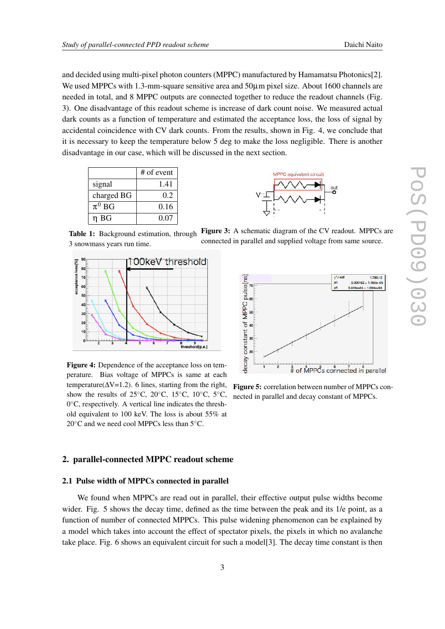and decided using multi-pixel photon counters (MPPC) manufactured by Hamamatsu Photonics[2]. We used MPPCs with 1.3-mm-square sensitive area and 50 $\mu$ m pixel size. About 1600 channels are needed in total, and 8 MPPC outputs are connected together to reduce the readout channels (Fig. 3). One disadvantage of this readout scheme is increase of dark count noise. We measured actual dark counts as a function of temperature and estimated the acceptance loss, the loss of signal by accidental coincidence with CV dark counts. From the results, shown in Fig. 4, we conclude that it is necessary to keep the temperature below 5 deg to make the loss negligible. There is another disadvantage in our case, which will be discussed in the next section.





Table 1: Background estimation, through 3 snowmass years run time. Figure 3: A schematic diagram of the CV readout. MPPCs are connected in parallel and supplied voltage from same source.



Figure 4: Dependence of the acceptance loss on temperature. Bias voltage of MPPCs is same at each temperature( $\Delta V=1.2$ ). 6 lines, starting from the right, show the results of 25*◦*C, 20*◦*C, 15*◦*C, 10*◦*C, 5*◦*C, 0 *◦*C, respectively. A vertical line indicates the threshold equivalent to 100 keV. The loss is about 55% at 20*◦*C and we need cool MPPCs less than 5*◦*C.

## pulse[ns]  $0.000162 + 1.185e - 05$  $6.415e+04 \pm 1.004e+04$ MPPC constant of decay  $*$  of MPPCs connected in parallel

 $\chi^2$  / nd

 $1.788/6$ 

Figure 5: correlation between number of MPPCs connected in parallel and decay constant of MPPCs.

#### 2. parallel-connected MPPC readout scheme

#### 2.1 Pulse width of MPPCs connected in parallel

We found when MPPCs are read out in parallel, their effective output pulse widths become wider. Fig. 5 shows the decay time, defined as the time between the peak and its 1/e point, as a function of number of connected MPPCs. This pulse widening phenomenon can be explained by a model which takes into account the effect of spectator pixels, the pixels in which no avalanche take place. Fig. 6 shows an equivalent circuit for such a model[3]. The decay time constant is then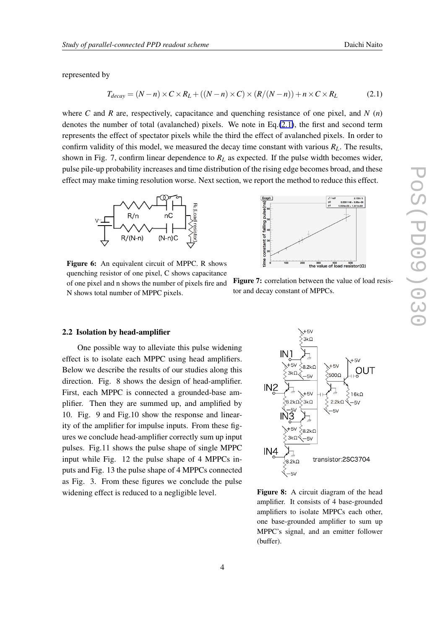represented by

$$
T_{decay} = (N - n) \times C \times R_L + ((N - n) \times C) \times (R/(N - n)) + n \times C \times R_L \tag{2.1}
$$

where *C* and *R* are, respectively, capacitance and quenching resistance of one pixel, and *N* (*n*) denotes the number of total (avalanched) pixels. We note in Eq. $(2.1)$ , the first and second term represents the effect of spectator pixels while the third the effect of avalanched pixels. In order to confirm validity of this model, we measured the decay time constant with various  $R_L$ . The results, shown in Fig. 7, confirm linear dependence to *R<sup>L</sup>* as expected. If the pulse width becomes wider, pulse pile-up probability increases and time distribution of the rising edge becomes broad, and these effect may make timing resolution worse. Next section, we report the method to reduce this effect.



Figure 6: An equivalent circuit of MPPC. R shows quenching resistor of one pixel, C shows capacitance of one pixel and n shows the number of pixels fire and N shows total number of MPPC pixels.



Figure 7: correlation between the value of load resistor and decay constant of MPPCs.

#### 2.2 Isolation by head-amplifier

One possible way to alleviate this pulse widening effect is to isolate each MPPC using head amplifiers. Below we describe the results of our studies along this direction. Fig. 8 shows the design of head-amplifier. First, each MPPC is connected a grounded-base amplifier. Then they are summed up, and amplified by 10. Fig. 9 and Fig.10 show the response and linearity of the amplifier for impulse inputs. From these figures we conclude head-amplifier correctly sum up input pulses. Fig.11 shows the pulse shape of single MPPC input while Fig. 12 the pulse shape of 4 MPPCs inputs and Fig. 13 the pulse shape of 4 MPPCs connected as Fig. 3. From these figures we conclude the pulse widening effect is reduced to a negligible level.



Figure 8: A circuit diagram of the head amplifier. It consists of 4 base-grounded amplifiers to isolate MPPCs each other, one base-grounded amplifier to sum up MPPC's signal, and an emitter follower (buffer).